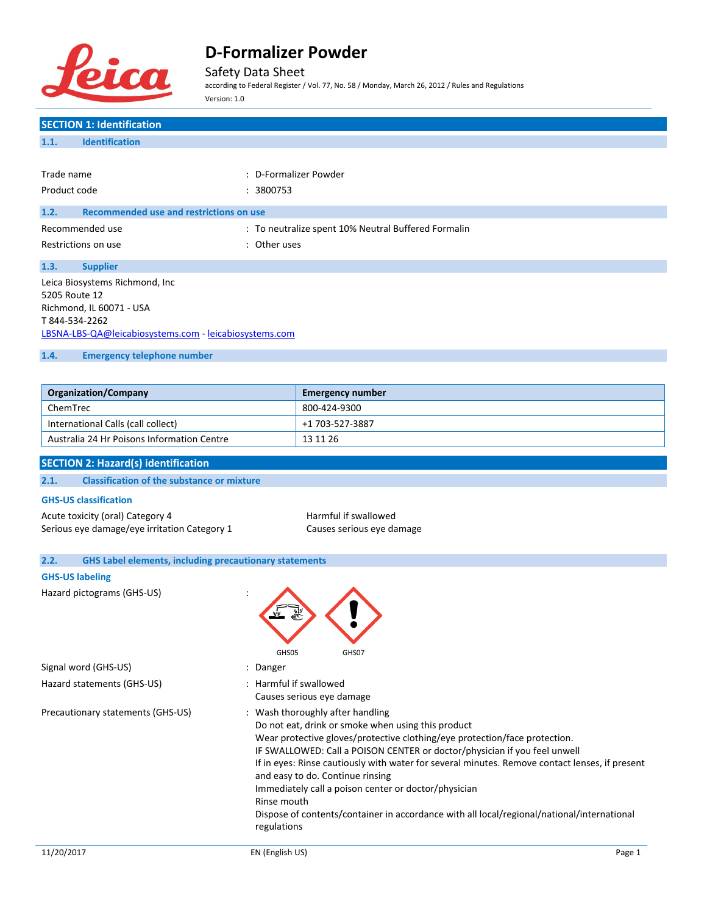

Safety Data Sheet

according to Federal Register / Vol. 77, No. 58 / Monday, March 26, 2012 / Rules and Regulations Version: 1.0

| <b>SECTION 1: Identification</b>                                      |                                                                                                                                                                             |
|-----------------------------------------------------------------------|-----------------------------------------------------------------------------------------------------------------------------------------------------------------------------|
| <b>Identification</b><br>1.1.                                         |                                                                                                                                                                             |
|                                                                       |                                                                                                                                                                             |
| Trade name                                                            | : D-Formalizer Powder                                                                                                                                                       |
| Product code                                                          | : 3800753                                                                                                                                                                   |
| 1.2.<br>Recommended use and restrictions on use                       |                                                                                                                                                                             |
| Recommended use                                                       | : To neutralize spent 10% Neutral Buffered Formalin                                                                                                                         |
| Restrictions on use                                                   | : Other uses                                                                                                                                                                |
|                                                                       |                                                                                                                                                                             |
| 1.3.<br><b>Supplier</b>                                               |                                                                                                                                                                             |
| Leica Biosystems Richmond, Inc<br>5205 Route 12                       |                                                                                                                                                                             |
| Richmond, IL 60071 - USA                                              |                                                                                                                                                                             |
| T 844-534-2262                                                        |                                                                                                                                                                             |
| LBSNA-LBS-QA@leicabiosystems.com - leicabiosystems.com                |                                                                                                                                                                             |
| 1.4.<br><b>Emergency telephone number</b>                             |                                                                                                                                                                             |
|                                                                       |                                                                                                                                                                             |
| <b>Organization/Company</b>                                           | <b>Emergency number</b>                                                                                                                                                     |
| ChemTrec                                                              | 800-424-9300                                                                                                                                                                |
| International Calls (call collect)                                    | +1 703-527-3887                                                                                                                                                             |
| Australia 24 Hr Poisons Information Centre                            | 13 11 26                                                                                                                                                                    |
|                                                                       |                                                                                                                                                                             |
| <b>SECTION 2: Hazard(s) identification</b>                            |                                                                                                                                                                             |
| <b>Classification of the substance or mixture</b><br>2.1.             |                                                                                                                                                                             |
| <b>GHS-US classification</b>                                          |                                                                                                                                                                             |
| Acute toxicity (oral) Category 4                                      | Harmful if swallowed                                                                                                                                                        |
| Serious eye damage/eye irritation Category 1                          | Causes serious eye damage                                                                                                                                                   |
|                                                                       |                                                                                                                                                                             |
| <b>GHS Label elements, including precautionary statements</b><br>2.2. |                                                                                                                                                                             |
| <b>GHS-US labeling</b>                                                |                                                                                                                                                                             |
| Hazard pictograms (GHS-US)                                            |                                                                                                                                                                             |
|                                                                       |                                                                                                                                                                             |
|                                                                       |                                                                                                                                                                             |
|                                                                       |                                                                                                                                                                             |
| Signal word (GHS-US)                                                  | GHS05<br>GHS07<br>: Danger                                                                                                                                                  |
| Hazard statements (GHS-US)                                            | : Harmful if swallowed                                                                                                                                                      |
|                                                                       | Causes serious eye damage                                                                                                                                                   |
| Precautionary statements (GHS-US)                                     | : Wash thoroughly after handling                                                                                                                                            |
|                                                                       | Do not eat, drink or smoke when using this product                                                                                                                          |
|                                                                       | Wear protective gloves/protective clothing/eye protection/face protection.                                                                                                  |
|                                                                       | IF SWALLOWED: Call a POISON CENTER or doctor/physician if you feel unwell<br>If in eyes: Rinse cautiously with water for several minutes. Remove contact lenses, if present |
|                                                                       | and easy to do. Continue rinsing                                                                                                                                            |
|                                                                       | Immediately call a poison center or doctor/physician                                                                                                                        |
|                                                                       | Rinse mouth                                                                                                                                                                 |
|                                                                       | Dispose of contents/container in accordance with all local/regional/national/international                                                                                  |
|                                                                       | regulations                                                                                                                                                                 |
| 11/20/2017                                                            | EN (English US)<br>Page 1                                                                                                                                                   |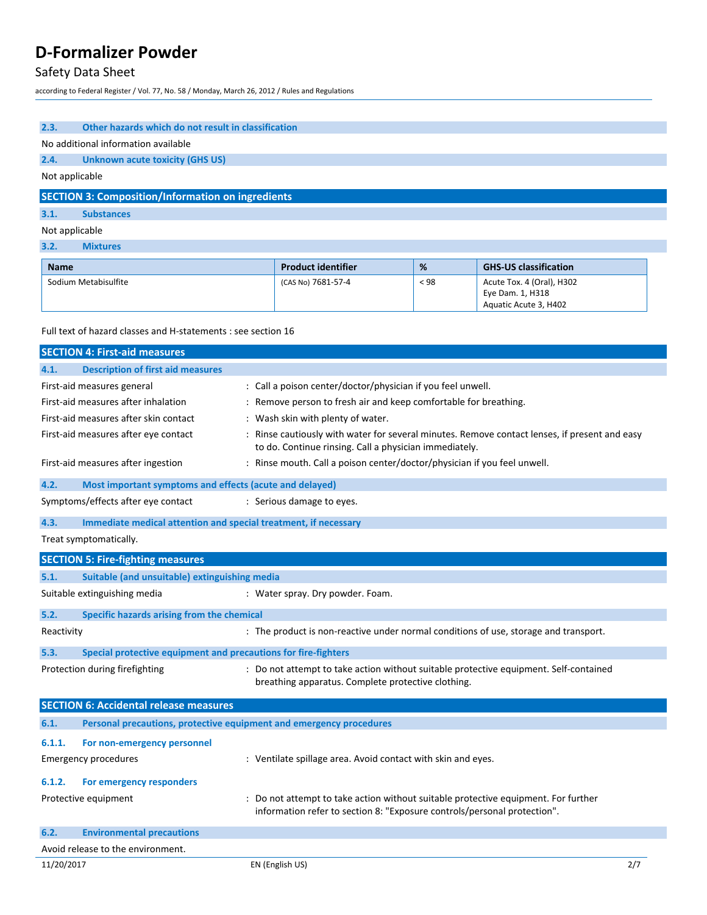# Safety Data Sheet

according to Federal Register / Vol. 77, No. 58 / Monday, March 26, 2012 / Rules and Regulations

| 2.3.        | Other hazards which do not result in classification           |                           |      |                                                                        |
|-------------|---------------------------------------------------------------|---------------------------|------|------------------------------------------------------------------------|
|             | No additional information available                           |                           |      |                                                                        |
| 2.4.        | <b>Unknown acute toxicity (GHS US)</b>                        |                           |      |                                                                        |
|             | Not applicable                                                |                           |      |                                                                        |
|             | <b>SECTION 3: Composition/Information on ingredients</b>      |                           |      |                                                                        |
| 3.1.        | <b>Substances</b>                                             |                           |      |                                                                        |
|             | Not applicable                                                |                           |      |                                                                        |
| 3.2.        | <b>Mixtures</b>                                               |                           |      |                                                                        |
| <b>Name</b> |                                                               | <b>Product identifier</b> | %    | <b>GHS-US classification</b>                                           |
|             | Sodium Metabisulfite                                          | (CAS No) 7681-57-4        | < 98 | Acute Tox. 4 (Oral), H302<br>Eye Dam. 1, H318<br>Aquatic Acute 3, H402 |
|             | Full text of hazard classes and H-statements : see section 16 |                           |      |                                                                        |
|             | <b>SECTION 4: First-aid measures</b>                          |                           |      |                                                                        |

| 4.1.       | <b>Description of first aid measures</b>                            |                                                                                                                                                                |     |
|------------|---------------------------------------------------------------------|----------------------------------------------------------------------------------------------------------------------------------------------------------------|-----|
|            | First-aid measures general                                          | : Call a poison center/doctor/physician if you feel unwell.                                                                                                    |     |
|            | First-aid measures after inhalation                                 | : Remove person to fresh air and keep comfortable for breathing.                                                                                               |     |
|            | First-aid measures after skin contact                               | : Wash skin with plenty of water.                                                                                                                              |     |
|            | First-aid measures after eye contact                                | : Rinse cautiously with water for several minutes. Remove contact lenses, if present and easy<br>to do. Continue rinsing. Call a physician immediately.        |     |
|            | First-aid measures after ingestion                                  | : Rinse mouth. Call a poison center/doctor/physician if you feel unwell.                                                                                       |     |
| 4.2.       | Most important symptoms and effects (acute and delayed)             |                                                                                                                                                                |     |
|            | Symptoms/effects after eye contact                                  | : Serious damage to eyes.                                                                                                                                      |     |
| 4.3.       | Immediate medical attention and special treatment, if necessary     |                                                                                                                                                                |     |
|            | Treat symptomatically.                                              |                                                                                                                                                                |     |
|            | <b>SECTION 5: Fire-fighting measures</b>                            |                                                                                                                                                                |     |
| 5.1.       | Suitable (and unsuitable) extinguishing media                       |                                                                                                                                                                |     |
|            | Suitable extinguishing media                                        | : Water spray. Dry powder. Foam.                                                                                                                               |     |
| 5.2.       | Specific hazards arising from the chemical                          |                                                                                                                                                                |     |
| Reactivity |                                                                     | : The product is non-reactive under normal conditions of use, storage and transport.                                                                           |     |
| 5.3.       | Special protective equipment and precautions for fire-fighters      |                                                                                                                                                                |     |
|            | Protection during firefighting                                      | : Do not attempt to take action without suitable protective equipment. Self-contained<br>breathing apparatus. Complete protective clothing.                    |     |
|            | <b>SECTION 6: Accidental release measures</b>                       |                                                                                                                                                                |     |
| 6.1.       | Personal precautions, protective equipment and emergency procedures |                                                                                                                                                                |     |
| 6.1.1.     | For non-emergency personnel                                         |                                                                                                                                                                |     |
|            | <b>Emergency procedures</b>                                         | : Ventilate spillage area. Avoid contact with skin and eyes.                                                                                                   |     |
| 6.1.2.     | For emergency responders                                            |                                                                                                                                                                |     |
|            | Protective equipment                                                | : Do not attempt to take action without suitable protective equipment. For further<br>information refer to section 8: "Exposure controls/personal protection". |     |
| 6.2.       | <b>Environmental precautions</b>                                    |                                                                                                                                                                |     |
|            | Avoid release to the environment.                                   |                                                                                                                                                                |     |
| 11/20/2017 |                                                                     | EN (English US)                                                                                                                                                | 2/7 |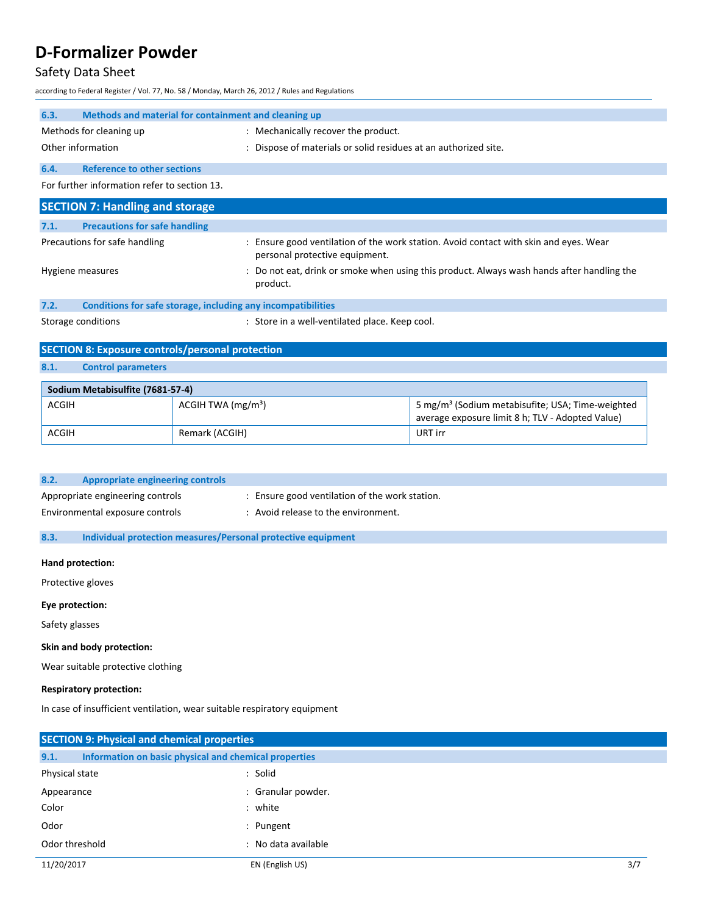# Safety Data Sheet

according to Federal Register / Vol. 77, No. 58 / Monday, March 26, 2012 / Rules and Regulations

| 6.3.<br>Methods and material for containment and cleaning up                                                             |                                                                 |                                                                                                                  |  |
|--------------------------------------------------------------------------------------------------------------------------|-----------------------------------------------------------------|------------------------------------------------------------------------------------------------------------------|--|
| Methods for cleaning up                                                                                                  | : Mechanically recover the product.                             |                                                                                                                  |  |
| Other information                                                                                                        | : Dispose of materials or solid residues at an authorized site. |                                                                                                                  |  |
| <b>Reference to other sections</b><br>6.4.                                                                               |                                                                 |                                                                                                                  |  |
| For further information refer to section 13.                                                                             |                                                                 |                                                                                                                  |  |
| <b>SECTION 7: Handling and storage</b>                                                                                   |                                                                 |                                                                                                                  |  |
| <b>Precautions for safe handling</b><br>7.1.                                                                             |                                                                 |                                                                                                                  |  |
| Precautions for safe handling                                                                                            | personal protective equipment.                                  | : Ensure good ventilation of the work station. Avoid contact with skin and eyes. Wear                            |  |
| Do not eat, drink or smoke when using this product. Always wash hands after handling the<br>Hygiene measures<br>product. |                                                                 |                                                                                                                  |  |
| Conditions for safe storage, including any incompatibilities<br>7.2.                                                     |                                                                 |                                                                                                                  |  |
| Storage conditions<br>: Store in a well-ventilated place. Keep cool.                                                     |                                                                 |                                                                                                                  |  |
| <b>SECTION 8: Exposure controls/personal protection</b>                                                                  |                                                                 |                                                                                                                  |  |
| <b>Control parameters</b><br>8.1.                                                                                        |                                                                 |                                                                                                                  |  |
| Sodium Metabisulfite (7681-57-4)                                                                                         |                                                                 |                                                                                                                  |  |
| <b>ACGIH</b><br>ACGIH TWA $(mg/m3)$                                                                                      |                                                                 | 5 mg/m <sup>3</sup> (Sodium metabisufite; USA; Time-weighted<br>average exposure limit 8 h; TLV - Adopted Value) |  |
| <b>ACGIH</b>                                                                                                             | Remark (ACGIH)<br>URT irr                                       |                                                                                                                  |  |

| 8.2. | Appropriate engineering controls |                                                |
|------|----------------------------------|------------------------------------------------|
|      | Appropriate engineering controls | : Ensure good ventilation of the work station. |
|      | Environmental exposure controls  | Avoid release to the environment.              |

**8.3. Individual protection measures/Personal protective equipment**

## **Hand protection:**

Protective gloves

## **Eye protection:**

Safety glasses

## **Skin and body protection:**

Wear suitable protective clothing

### **Respiratory protection:**

In case of insufficient ventilation, wear suitable respiratory equipment

| <b>SECTION 9: Physical and chemical properties</b>            |                     |     |
|---------------------------------------------------------------|---------------------|-----|
| 9.1.<br>Information on basic physical and chemical properties |                     |     |
| Physical state                                                | : Solid             |     |
| Appearance                                                    | : Granular powder.  |     |
| Color                                                         | : white             |     |
| Odor                                                          | : Pungent           |     |
| Odor threshold                                                | : No data available |     |
| 11/20/2017                                                    | EN (English US)     | 3/7 |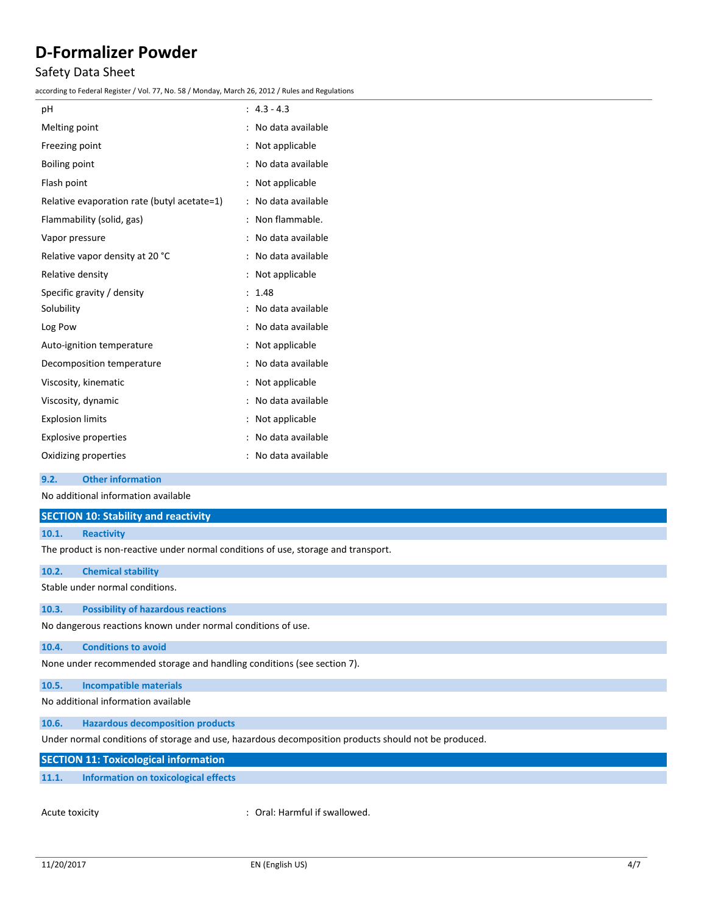## Safety Data Sheet

according to Federal Register / Vol. 77, No. 58 / Monday, March 26, 2012 / Rules and Regulations

| pH                                          | $: 4.3 - 4.3$       |
|---------------------------------------------|---------------------|
| Melting point                               | : No data available |
| Freezing point                              | : Not applicable    |
| <b>Boiling point</b>                        | : No data available |
| Flash point                                 | : Not applicable    |
| Relative evaporation rate (butyl acetate=1) | : No data available |
| Flammability (solid, gas)                   | : Non flammable.    |
| Vapor pressure                              | : No data available |
| Relative vapor density at 20 °C             | : No data available |
| Relative density                            | : Not applicable    |
| Specific gravity / density                  | : 1.48              |
| Solubility                                  | : No data available |
| Log Pow                                     | : No data available |
| Auto-ignition temperature                   | : Not applicable    |
| Decomposition temperature                   | : No data available |
| Viscosity, kinematic                        | : Not applicable    |
| Viscosity, dynamic                          | : No data available |
| <b>Explosion limits</b>                     | : Not applicable    |
| <b>Explosive properties</b>                 | : No data available |
| Oxidizing properties                        | : No data available |
|                                             |                     |

#### **9.2. Other information**

No additional information available

### **SECTION 10: Stability and reactivity**

#### **10.1. Reactivity**

The product is non-reactive under normal conditions of use, storage and transport.

| 10.2. | <b>Chemical stability</b>                 |  |  |  |
|-------|-------------------------------------------|--|--|--|
|       | Stable under normal conditions.           |  |  |  |
|       |                                           |  |  |  |
| 10.3. | <b>Possibility of hazardous reactions</b> |  |  |  |

No dangerous reactions known under normal conditions of use.

### **10.4. Conditions to avoid**

None under recommended storage and handling conditions (see section 7).

# **10.5. Incompatible materials**

No additional information available

# **10.6. Hazardous decomposition products**

Under normal conditions of storage and use, hazardous decomposition products should not be produced.

## **SECTION 11: Toxicological information**

## **11.1. Information on toxicological effects**

Acute toxicity **in the case of the Caucasian Caucasi** Coral: Harmful if swallowed.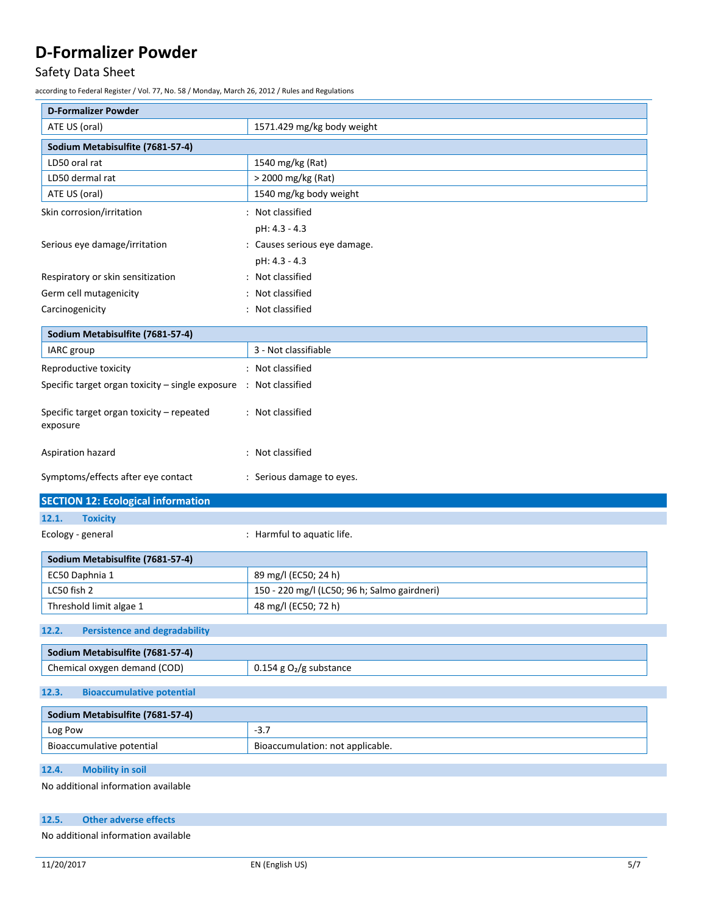# Safety Data Sheet

according to Federal Register / Vol. 77, No. 58 / Monday, March 26, 2012 / Rules and Regulations

| <b>D-Formalizer Powder</b>                                        |                                              |
|-------------------------------------------------------------------|----------------------------------------------|
| ATE US (oral)                                                     | 1571.429 mg/kg body weight                   |
| Sodium Metabisulfite (7681-57-4)                                  |                                              |
| LD50 oral rat                                                     | 1540 mg/kg (Rat)                             |
| LD50 dermal rat                                                   | > 2000 mg/kg (Rat)                           |
| ATE US (oral)                                                     | 1540 mg/kg body weight                       |
| Skin corrosion/irritation                                         | : Not classified                             |
|                                                                   | pH: 4.3 - 4.3                                |
| Serious eye damage/irritation                                     | : Causes serious eye damage.                 |
|                                                                   | pH: 4.3 - 4.3                                |
| Respiratory or skin sensitization                                 | : Not classified                             |
| Germ cell mutagenicity                                            | : Not classified                             |
| Carcinogenicity                                                   | : Not classified                             |
| Sodium Metabisulfite (7681-57-4)                                  |                                              |
| IARC group                                                        | 3 - Not classifiable                         |
| Reproductive toxicity                                             | : Not classified                             |
| Specific target organ toxicity - single exposure : Not classified |                                              |
|                                                                   |                                              |
| Specific target organ toxicity - repeated<br>exposure             | : Not classified                             |
|                                                                   |                                              |
| Aspiration hazard                                                 | : Not classified                             |
|                                                                   |                                              |
| Symptoms/effects after eye contact                                | : Serious damage to eyes.                    |
| <b>SECTION 12: Ecological information</b>                         |                                              |
| <b>Toxicity</b><br>12.1.                                          |                                              |
| Ecology - general                                                 | : Harmful to aquatic life.                   |
| Sodium Metabisulfite (7681-57-4)                                  |                                              |
| EC50 Daphnia 1                                                    | 89 mg/l (EC50; 24 h)                         |
| LC50 fish 2                                                       | 150 - 220 mg/l (LC50; 96 h; Salmo gairdneri) |
| Threshold limit algae 1                                           | 48 mg/l (EC50; 72 h)                         |
| <b>Persistence and degradability</b><br>12.2.                     |                                              |
|                                                                   |                                              |
| Sodium Metabisulfite (7681-57-4)<br>Chemical oxygen demand (COD)  | $0.154$ g O <sub>2</sub> /g substance        |
| 12.3.<br><b>Bioaccumulative potential</b>                         |                                              |
|                                                                   |                                              |
| Sodium Metabisulfite (7681-57-4)<br>Log Pow                       | $-3.7$                                       |
| Bioaccumulative potential                                         | Bioaccumulation: not applicable.             |
| <b>Mobility in soil</b><br>12.4.                                  |                                              |
| No additional information available                               |                                              |
|                                                                   |                                              |
| <b>Other adverse effects</b><br>12.5.                             |                                              |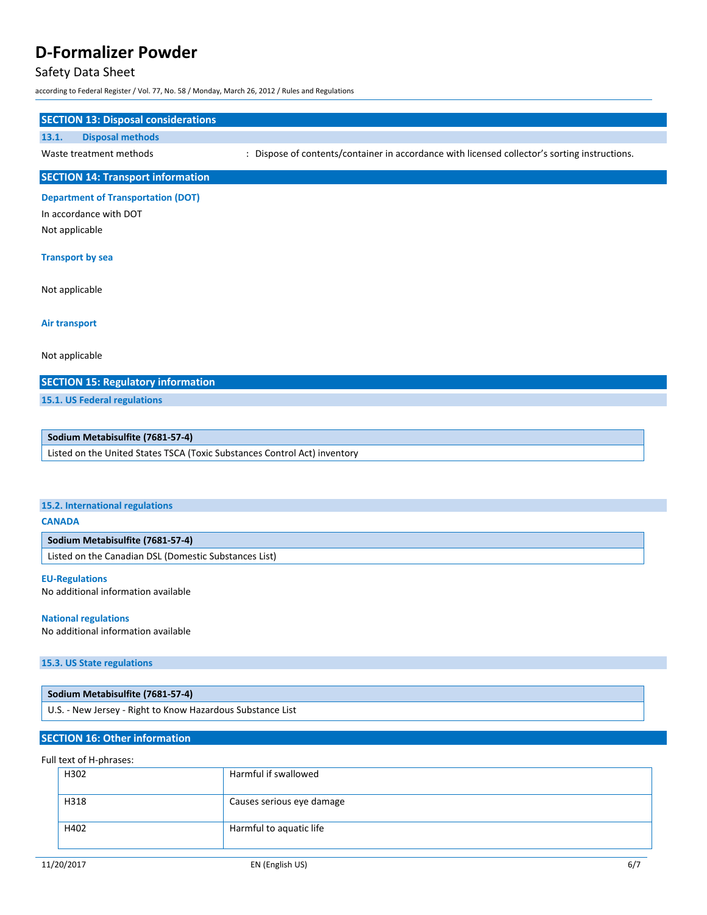## Safety Data Sheet

according to Federal Register / Vol. 77, No. 58 / Monday, March 26, 2012 / Rules and Regulations

# **SECTION 13: Disposal considerations 13.1. Disposal methods** Waste treatment methods : Dispose of contents/container in accordance with licensed collector's sorting instructions. **SECTION 14: Transport information Department of Transportation (DOT)**

In accordance with DOT Not applicable

#### **Transport by sea**

Not applicable

**Air transport**

Not applicable

## **SECTION 15: Regulatory information**

**15.1. US Federal regulations**

## **Sodium Metabisulfite (7681-57-4)**

Listed on the United States TSCA (Toxic Substances Control Act) inventory

#### **15.2. International regulations**

### **CANADA**

## **Sodium Metabisulfite (7681-57-4)**

Listed on the Canadian DSL (Domestic Substances List)

## **EU-Regulations**

No additional information available

#### **National regulations**

No additional information available

## **15.3. US State regulations**

| Sodium Metabisulfite (7681-57-4)                           |
|------------------------------------------------------------|
| U.S. - New Jersey - Right to Know Hazardous Substance List |

## **SECTION 16: Other information**

### Full text of H-phrases:

| Harmful if swallowed      |
|---------------------------|
| Causes serious eye damage |
| Harmful to aquatic life   |
|                           |